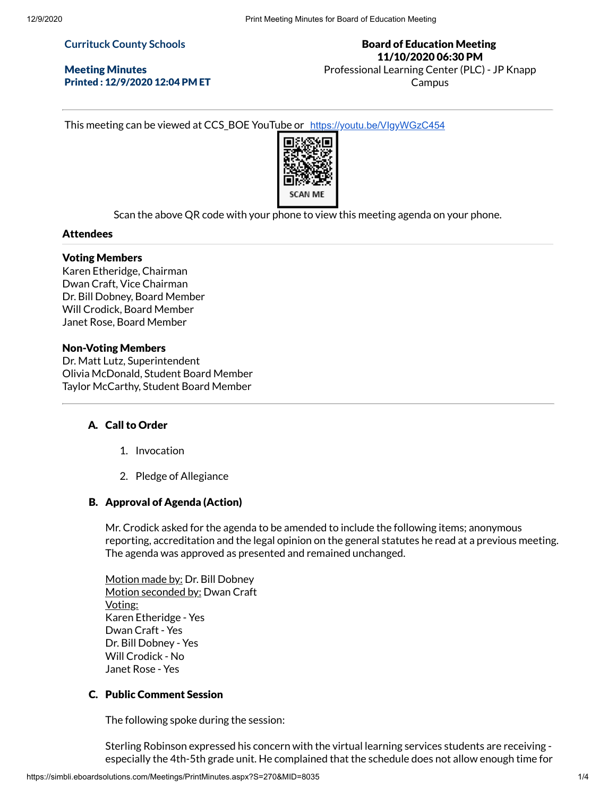### **Currituck County Schools**

Meeting Minutes Printed : 12/9/2020 12:04 PM ET

Board of Education Meeting 11/10/2020 06:30 PM Professional Learning Center (PLC) - JP Knapp Campus

This meeting can be viewed at CCS\_BOE YouTube or <https://youtu.be/VIgyWGzC454>



Scan the above QR code with your phone to view this meeting agenda on your phone.

#### Attendees

### Voting Members

Karen Etheridge, Chairman Dwan Craft, Vice Chairman Dr. Bill Dobney, Board Member Will Crodick, Board Member Janet Rose, Board Member

#### Non-Voting Members

Dr. Matt Lutz, Superintendent Olivia McDonald, Student Board Member Taylor McCarthy, Student Board Member

### A. Call to Order

- 1. Invocation
- 2. Pledge of Allegiance

### B. Approval of Agenda (Action)

Mr. Crodick asked for the agenda to be amended to include the following items; anonymous reporting, accreditation and the legal opinion on the general statutes he read at a previous meeting. The agenda was approved as presented and remained unchanged.

Motion made by: Dr. Bill Dobney Motion seconded by: Dwan Craft Voting: Karen Etheridge - Yes Dwan Craft - Yes Dr. Bill Dobney - Yes Will Crodick - No Janet Rose - Yes

# C. Public Comment Session

The following spoke during the session:

Sterling Robinson expressed his concern with the virtual learning services students are receiving especially the 4th-5th grade unit. He complained that the schedule does not allow enough time for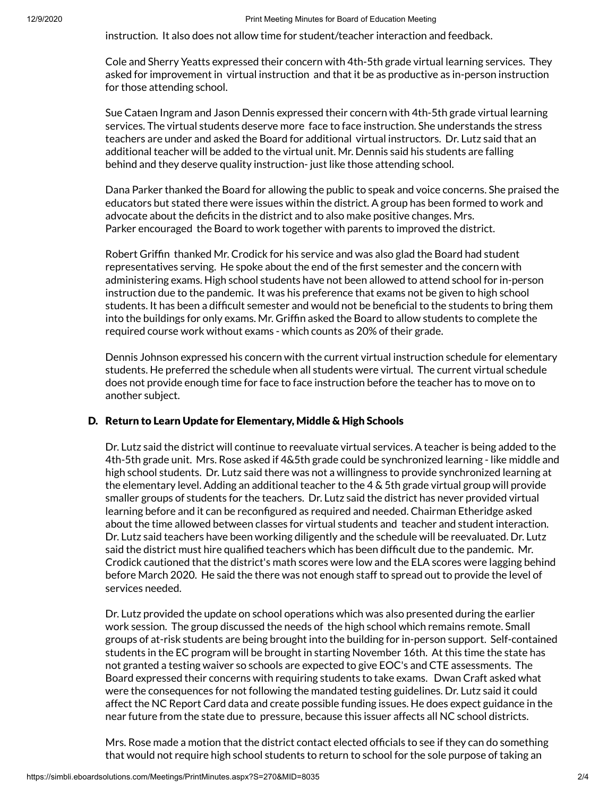instruction. It also does not allow time for student/teacher interaction and feedback.

Cole and Sherry Yeatts expressed their concern with 4th-5th grade virtual learning services. They asked for improvement in virtual instruction and that it be as productive as in-person instruction for those attending school.

Sue Cataen Ingram and Jason Dennis expressed their concern with 4th-5th grade virtual learning services. The virtual students deserve more face to face instruction. She understands the stress teachers are under and asked the Board for additional virtual instructors. Dr. Lutz said that an additional teacher will be added to the virtual unit. Mr. Dennis said his students are falling behind and they deserve quality instruction- just like those attending school.

Dana Parker thanked the Board for allowing the public to speak and voice concerns. She praised the educators but stated there were issues within the district. A group has been formed to work and advocate about the deficits in the district and to also make positive changes. Mrs. Parker encouraged the Board to work together with parents to improved the district.

Robert Grifn thanked Mr. Crodick for his service and was also glad the Board had student representatives serving. He spoke about the end of the first semester and the concern with administering exams. High school students have not been allowed to attend school for in-person instruction due to the pandemic. It was his preference that exams not be given to high school students. It has been a difficult semester and would not be beneficial to the students to bring them into the buildings for only exams. Mr. Grifn asked the Board to allow students to complete the required course work without exams - which counts as 20% of their grade.

Dennis Johnson expressed his concern with the current virtual instruction schedule for elementary students. He preferred the schedule when all students were virtual. The current virtual schedule does not provide enough time for face to face instruction before the teacher has to move on to another subject.

### D. Return to Learn Update for Elementary, Middle & High Schools

Dr. Lutz said the district will continue to reevaluate virtual services. A teacher is being added to the 4th-5th grade unit. Mrs. Rose asked if 4&5th grade could be synchronized learning - like middle and high school students. Dr. Lutz said there was not a willingness to provide synchronized learning at the elementary level. Adding an additional teacher to the 4 & 5th grade virtual group will provide smaller groups of students for the teachers. Dr. Lutz said the district has never provided virtual learning before and it can be reconfigured as required and needed. Chairman Etheridge asked about the time allowed between classes for virtual students and teacher and student interaction. Dr. Lutz said teachers have been working diligently and the schedule will be reevaluated. Dr. Lutz said the district must hire qualified teachers which has been difficult due to the pandemic. Mr. Crodick cautioned that the district's math scores were low and the ELA scores were lagging behind before March 2020. He said the there was not enough staff to spread out to provide the level of services needed.

Dr. Lutz provided the update on school operations which was also presented during the earlier work session. The group discussed the needs of the high school which remains remote. Small groups of at-risk students are being brought into the building for in-person support. Self-contained students in the EC program will be brought in starting November 16th. At this time the state has not granted a testing waiver so schools are expected to give EOC's and CTE assessments. The Board expressed their concerns with requiring students to take exams. Dwan Craft asked what were the consequences for not following the mandated testing guidelines. Dr. Lutz said it could affect the NC Report Card data and create possible funding issues. He does expect guidance in the near future from the state due to pressure, because this issuer affects all NC school districts.

Mrs. Rose made a motion that the district contact elected officials to see if they can do something that would not require high school students to return to school for the sole purpose of taking an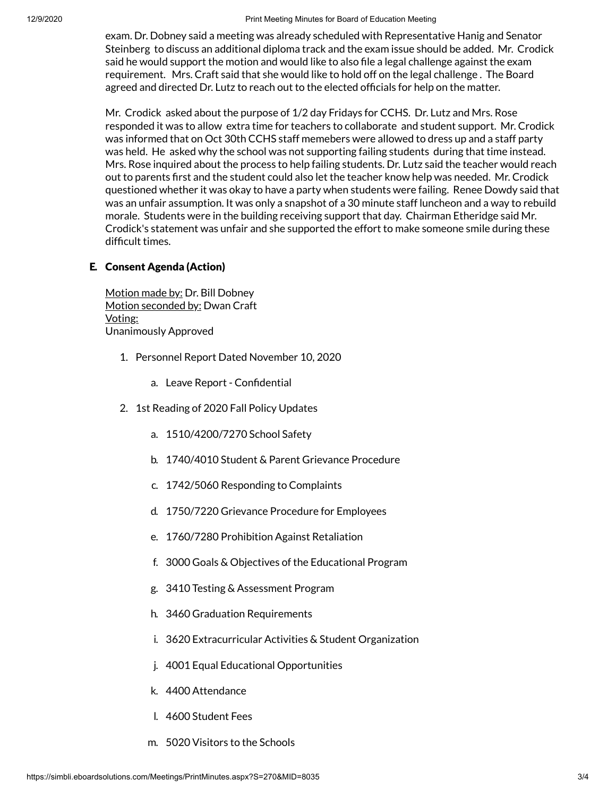exam. Dr. Dobney said a meeting was already scheduled with Representative Hanig and Senator Steinberg to discuss an additional diploma track and the exam issue should be added. Mr. Crodick said he would support the motion and would like to also file a legal challenge against the exam requirement. Mrs. Craft said that she would like to hold off on the legal challenge . The Board agreed and directed Dr. Lutz to reach out to the elected officials for help on the matter.

Mr. Crodick asked about the purpose of 1/2 day Fridays for CCHS. Dr. Lutz and Mrs. Rose responded it was to allow extra time for teachers to collaborate and student support. Mr. Crodick was informed that on Oct 30th CCHS staff memebers were allowed to dress up and a staff party was held. He asked why the school was not supporting failing students during that time instead. Mrs. Rose inquired about the process to help failing students. Dr. Lutz said the teacher would reach out to parents first and the student could also let the teacher know help was needed. Mr. Crodick questioned whether it was okay to have a party when students were failing. Renee Dowdy said that was an unfair assumption. It was only a snapshot of a 30 minute staff luncheon and a way to rebuild morale. Students were in the building receiving support that day. Chairman Etheridge said Mr. Crodick's statement was unfair and she supported the effort to make someone smile during these difficult times.

# E. Consent Agenda (Action)

Motion made by: Dr. Bill Dobney Motion seconded by: Dwan Craft Voting: Unanimously Approved

- 1. Personnel Report Dated November 10, 2020
	- a. Leave Report Confidential
- 2. 1st Reading of 2020 Fall Policy Updates
	- a. 1510/4200/7270 School Safety
	- b. 1740/4010 Student & Parent Grievance Procedure
	- c. 1742/5060 Responding to Complaints
	- d. 1750/7220 Grievance Procedure for Employees
	- e. 1760/7280 Prohibition Against Retaliation
	- f. 3000 Goals & Objectives of the Educational Program
	- g. 3410 Testing & Assessment Program
	- h. 3460 Graduation Requirements
	- i. 3620 Extracurricular Activities & Student Organization
	- j. 4001 Equal Educational Opportunities
	- k. 4400 Attendance
	- l. 4600 Student Fees
	- m. 5020 Visitors to the Schools